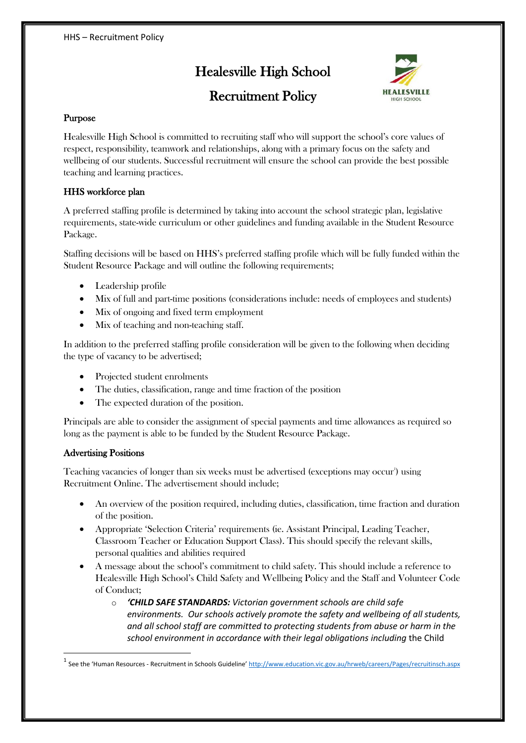# Healesville High School



## Recruitment Policy

## Purpose

Healesville High School is committed to recruiting staff who will support the school's core values of respect, responsibility, teamwork and relationships, along with a primary focus on the safety and wellbeing of our students. Successful recruitment will ensure the school can provide the best possible teaching and learning practices.

## HHS workforce plan

A preferred staffing profile is determined by taking into account the school strategic plan, legislative requirements, state-wide curriculum or other guidelines and funding available in the Student Resource Package.

Staffing decisions will be based on HHS's preferred staffing profile which will be fully funded within the Student Resource Package and will outline the following requirements;

- $\bullet$  Leadership profile
- Mix of full and part-time positions (considerations include: needs of employees and students)
- Mix of ongoing and fixed term employment
- Mix of teaching and non-teaching staff.

In addition to the preferred staffing profile consideration will be given to the following when deciding the type of vacancy to be advertised;

- Projected student enrolments
- The duties, classification, range and time fraction of the position
- The expected duration of the position.

Principals are able to consider the assignment of special payments and time allowances as required so long as the payment is able to be funded by the Student Resource Package.

### Advertising Positions

Teaching vacancies of longer than six weeks must be advertised (exceptions may occur') using Recruitment Online. The advertisement should include;

- x An overview of the position required, including duties, classification, time fraction and duration of the position.
- x Appropriate 'Selection Criteria' requirements (ie. Assistant Principal, Leading Teacher, Classroom Teacher or Education Support Class). This should specify the relevant skills, personal qualities and abilities required
- x A message about the school's commitment to child safety. This should include a reference to Healesville High School's Child Safety and Wellbeing Policy and the Staff and Volunteer Code of Conduct;
	- o *'CHILD SAFE STANDARDS: Victorian government schools are child safe environments. Our schools actively promote the safety and wellbeing of all students, and all school staff are committed to protecting students from abuse or harm in the school environment in accordance with their legal obligations including* the Child

See the 'Human Resources - Recruitment in Schools Guideline' <http://www.education.vic.gov.au/hrweb/careers/Pages/recruitinsch.aspx>